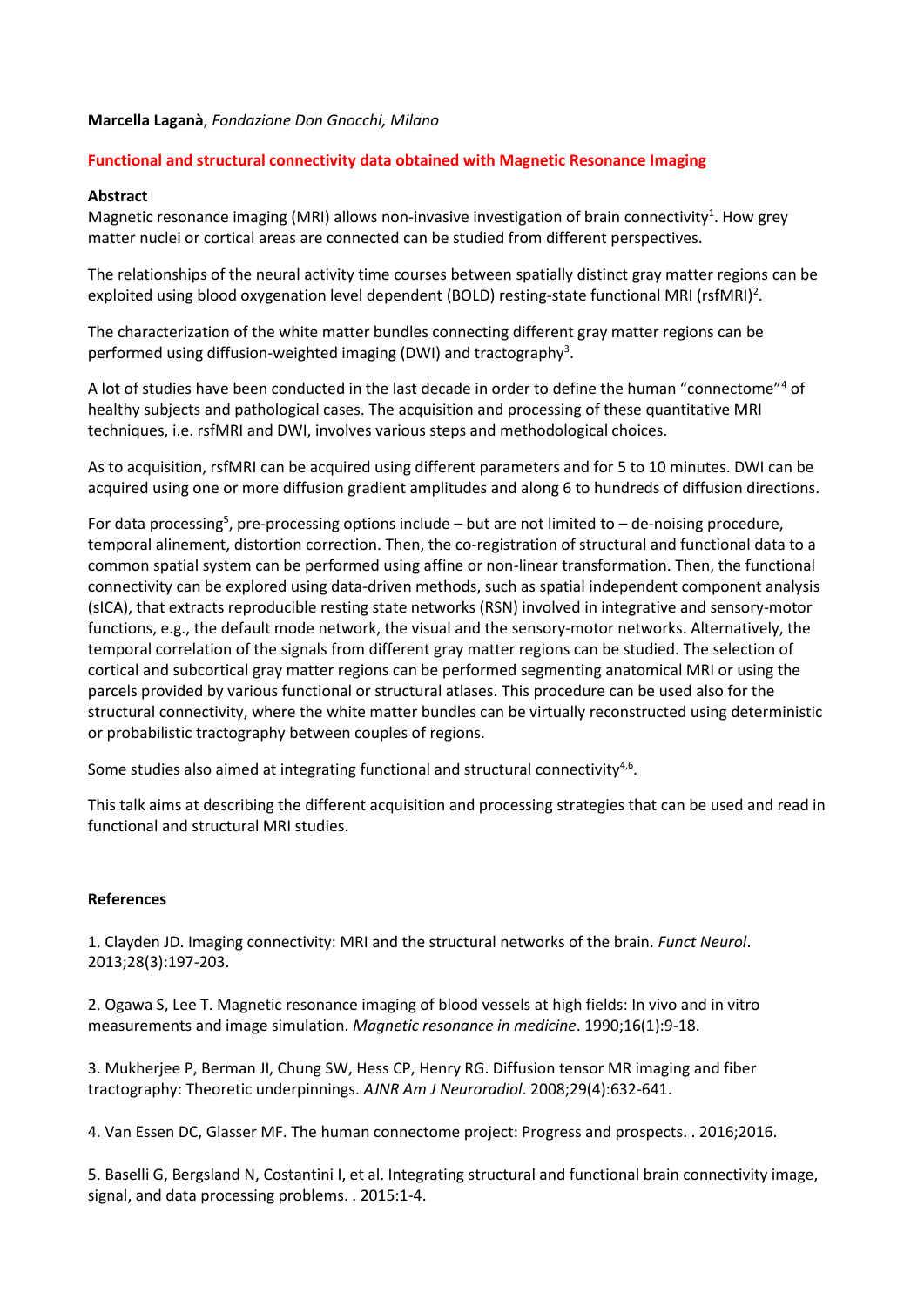## **Marcella Laganà**, *Fondazione Don Gnocchi, Milano*

## **Functional and structural connectivity data obtained with Magnetic Resonance Imaging**

## **Abstract**

Magnetic resonance imaging (MRI) allows non-invasive investigation of brain connectivity<sup>1</sup>. How grey matter nuclei or cortical areas are connected can be studied from different perspectives.

The relationships of the neural activity time courses between spatially distinct gray matter regions can be exploited using blood oxygenation level dependent (BOLD) resting-state functional MRI (rsfMRI)<sup>2</sup>.

The characterization of the white matter bundles connecting different gray matter regions can be performed using diffusion-weighted imaging (DWI) and tractography<sup>3</sup>.

A lot of studies have been conducted in the last decade in order to define the human "connectome"<sup>4</sup> of healthy subjects and pathological cases. The acquisition and processing of these quantitative MRI techniques, i.e. rsfMRI and DWI, involves various steps and methodological choices.

As to acquisition, rsfMRI can be acquired using different parameters and for 5 to 10 minutes. DWI can be acquired using one or more diffusion gradient amplitudes and along 6 to hundreds of diffusion directions.

For data processing<sup>5</sup>, pre-processing options include  $-$  but are not limited to  $-$  de-noising procedure, temporal alinement, distortion correction. Then, the co-registration of structural and functional data to a common spatial system can be performed using affine or non-linear transformation. Then, the functional connectivity can be explored using data-driven methods, such as spatial independent component analysis (sICA), that extracts reproducible resting state networks (RSN) involved in integrative and sensory-motor functions, e.g., the default mode network, the visual and the sensory-motor networks. Alternatively, the temporal correlation of the signals from different gray matter regions can be studied. The selection of cortical and subcortical gray matter regions can be performed segmenting anatomical MRI or using the parcels provided by various functional or structural atlases. This procedure can be used also for the structural connectivity, where the white matter bundles can be virtually reconstructed using deterministic or probabilistic tractography between couples of regions.

Some studies also aimed at integrating functional and structural connectivity<sup>4,6</sup>.

This talk aims at describing the different acquisition and processing strategies that can be used and read in functional and structural MRI studies.

## **References**

1. Clayden JD. Imaging connectivity: MRI and the structural networks of the brain. *Funct Neurol*. 2013;28(3):197-203.

2. Ogawa S, Lee T. Magnetic resonance imaging of blood vessels at high fields: In vivo and in vitro measurements and image simulation. *Magnetic resonance in medicine*. 1990;16(1):9-18.

3. Mukherjee P, Berman JI, Chung SW, Hess CP, Henry RG. Diffusion tensor MR imaging and fiber tractography: Theoretic underpinnings. *AJNR Am J Neuroradiol*. 2008;29(4):632-641.

4. Van Essen DC, Glasser MF. The human connectome project: Progress and prospects. . 2016;2016.

5. Baselli G, Bergsland N, Costantini I, et al. Integrating structural and functional brain connectivity image, signal, and data processing problems. . 2015:1-4.